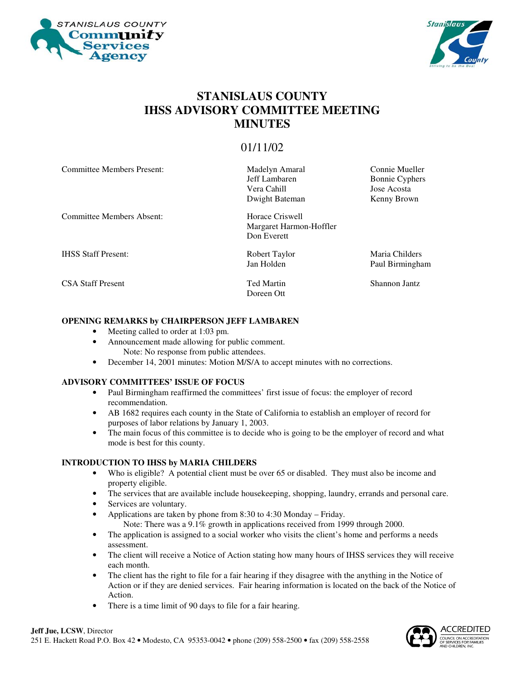



## **STANISLAUS COUNTY IHSS ADVISORY COMMITTEE MEETING MINUTES**

### 01/11/02

| <b>Committee Members Present:</b> | Madelyn Amaral<br>Jeff Lambaren<br>Vera Cahill<br>Dwight Bateman | Connie Mueller<br><b>Bonnie Cyphers</b><br>Jose Acosta<br>Kenny Brown |
|-----------------------------------|------------------------------------------------------------------|-----------------------------------------------------------------------|
| <b>Committee Members Absent:</b>  | Horace Criswell<br>Margaret Harmon-Hoffler<br>Don Everett        |                                                                       |
| <b>IHSS Staff Present:</b>        | Robert Taylor<br>Jan Holden                                      | Maria Childers<br>Paul Birmingham                                     |
| <b>CSA Staff Present</b>          | <b>Ted Martin</b><br>Doreen Ott                                  | Shannon Jantz                                                         |

### **OPENING REMARKS by CHAIRPERSON JEFF LAMBAREN**

- Meeting called to order at 1:03 pm.
- Announcement made allowing for public comment. Note: No response from public attendees.
- December 14, 2001 minutes: Motion M/S/A to accept minutes with no corrections.

### **ADVISORY COMMITTEES' ISSUE OF FOCUS**

- Paul Birmingham reaffirmed the committees' first issue of focus: the employer of record recommendation.
- AB 1682 requires each county in the State of California to establish an employer of record for purposes of labor relations by January 1, 2003.
- The main focus of this committee is to decide who is going to be the employer of record and what mode is best for this county.

### **INTRODUCTION TO IHSS by MARIA CHILDERS**

- Who is eligible? A potential client must be over 65 or disabled. They must also be income and property eligible.
- The services that are available include housekeeping, shopping, laundry, errands and personal care.
- Services are voluntary.
- Applications are taken by phone from 8:30 to 4:30 Monday Friday. Note: There was a 9.1% growth in applications received from 1999 through 2000.
- The application is assigned to a social worker who visits the client's home and performs a needs assessment.
- The client will receive a Notice of Action stating how many hours of IHSS services they will receive each month.
- The client has the right to file for a fair hearing if they disagree with the anything in the Notice of Action or if they are denied services. Fair hearing information is located on the back of the Notice of Action.
- There is a time limit of 90 days to file for a fair hearing.

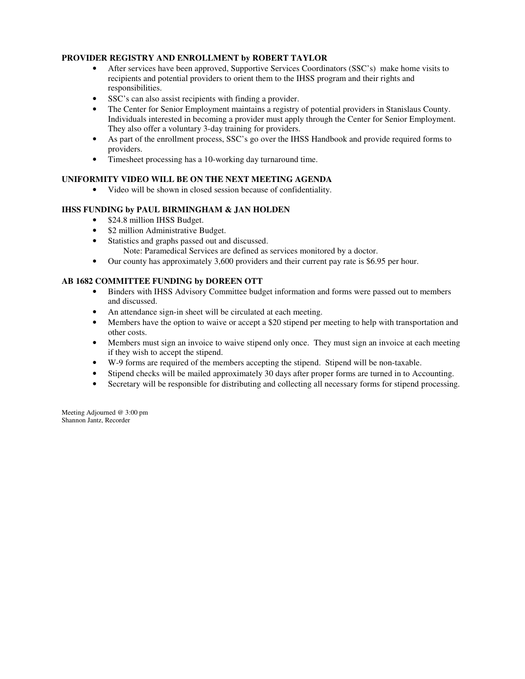### **PROVIDER REGISTRY AND ENROLLMENT by ROBERT TAYLOR**

- After services have been approved, Supportive Services Coordinators (SSC's) make home visits to recipients and potential providers to orient them to the IHSS program and their rights and responsibilities.
- SSC's can also assist recipients with finding a provider.
- The Center for Senior Employment maintains a registry of potential providers in Stanislaus County. Individuals interested in becoming a provider must apply through the Center for Senior Employment. They also offer a voluntary 3-day training for providers.
- As part of the enrollment process, SSC's go over the IHSS Handbook and provide required forms to providers.
- Timesheet processing has a 10-working day turnaround time.

### **UNIFORMITY VIDEO WILL BE ON THE NEXT MEETING AGENDA**

• Video will be shown in closed session because of confidentiality.

### **IHSS FUNDING by PAUL BIRMINGHAM & JAN HOLDEN**

- \$24.8 million IHSS Budget.
- \$2 million Administrative Budget.
- Statistics and graphs passed out and discussed.
	- Note: Paramedical Services are defined as services monitored by a doctor.
- Our county has approximately 3,600 providers and their current pay rate is \$6.95 per hour.

### **AB 1682 COMMITTEE FUNDING by DOREEN OTT**

- Binders with IHSS Advisory Committee budget information and forms were passed out to members and discussed.
- An attendance sign-in sheet will be circulated at each meeting.
- Members have the option to waive or accept a \$20 stipend per meeting to help with transportation and other costs.
- Members must sign an invoice to waive stipend only once. They must sign an invoice at each meeting if they wish to accept the stipend.
- W-9 forms are required of the members accepting the stipend. Stipend will be non-taxable.
- Stipend checks will be mailed approximately 30 days after proper forms are turned in to Accounting.
- Secretary will be responsible for distributing and collecting all necessary forms for stipend processing.

Meeting Adjourned @ 3:00 pm Shannon Jantz, Recorder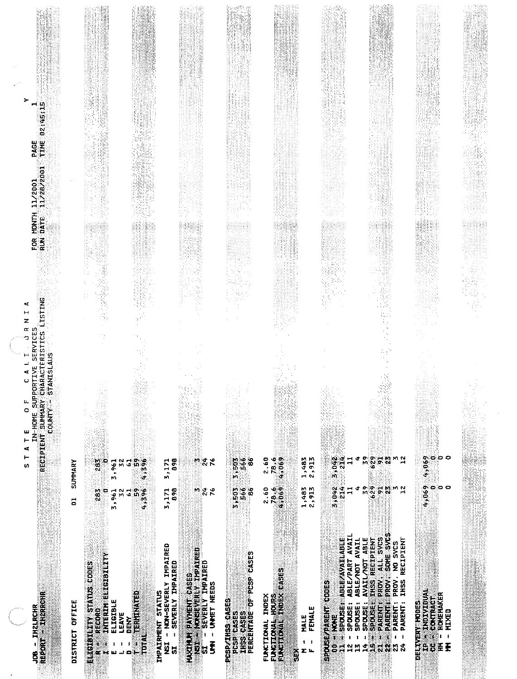| ā<br>ទី<br>흥                                                                                                                             |                                        |                                                                                                                                                                                   |                                                                                                                                                  |                                                                                                                                                                                                                                                                                                  |                                                                                                              |                                                                                                                                                                                                        |                                                                                                                                                                                                           |                                                                                                                                                                                                                                                                                                                                             |                                                                                                                                                              |  |
|------------------------------------------------------------------------------------------------------------------------------------------|----------------------------------------|-----------------------------------------------------------------------------------------------------------------------------------------------------------------------------------|--------------------------------------------------------------------------------------------------------------------------------------------------|--------------------------------------------------------------------------------------------------------------------------------------------------------------------------------------------------------------------------------------------------------------------------------------------------|--------------------------------------------------------------------------------------------------------------|--------------------------------------------------------------------------------------------------------------------------------------------------------------------------------------------------------|-----------------------------------------------------------------------------------------------------------------------------------------------------------------------------------------------------------|---------------------------------------------------------------------------------------------------------------------------------------------------------------------------------------------------------------------------------------------------------------------------------------------------------------------------------------------|--------------------------------------------------------------------------------------------------------------------------------------------------------------|--|
| IN-HOME SUP<br><b>SUMMARY</b><br>щ.<br>COUNTY<br>o<br>ш<br>RECIPIENT<br>٩<br>⊢<br>į.<br>S,<br>REPORT - INSRRENR<br>- IH2LRCHR<br>g<br>ý, | <b>SUMMARY</b><br>ដ<br>DISTRICT OFFICE | 283<br>5,961<br>e<br>283<br>۰<br>,961<br>м<br><b>INTERIM BUIGIBILITY</b><br>ELICIBILITY STATUS CODES<br>ELIGIBLE<br>RECORD<br>$\begin{array}{c} 1 \ 1 \ 1 \end{array}$<br>-1<br>ш | S<br>$\overline{z}$<br>4,396<br>5<br>g.<br>4,396<br>5<br>$\frac{2}{3}$<br>TERMINATED<br>IMPAIRMENT STATUS<br>LEAVE<br><b>DENY</b><br>E<br>J<br>٥ | $\frac{1}{2}$<br>76<br>3,171<br>898<br>m প্<br>3,171<br>898<br>76<br>- NON-SEVERLY IMPAIRED<br><b>NSI - NONSEVERLY IMPAIRED<br/>SI - SEVERLY IMPAIRED</b><br>SEVERLY IMPAIRED<br><b>HAXIVAL DAYTEST CASES</b><br><b>UNMET NEEDS</b><br><b>Barbara</b><br>$\pmb{\mathsf{1}}$<br>ľ<br>Š<br>ž<br>ដូ | 3,503<br>566<br>86<br>3,503<br>566<br>86<br>PERCENTAGE OF PCSP CASES<br>PCSP/THSS CASES<br><b>2432,835B3</b> | 1,483<br>2,913<br>4,069<br>2.60<br>9.6<br>1,483<br>2,913<br>2.60<br>78.6<br><b>FUNCTIONAL TIMEX CASES</b><br>FUNCTIONAL INDEX<br>FUNCTIONAL HOURS<br>FEMALE<br>MALE<br>ı<br>J.<br>sex<br>S<br>¥.<br>ц. | 214<br>3,042<br>$\mathbf{u}$<br>3,042<br>214<br>$\mathbf{r}$<br><b>ABLE/PART AVAIL</b><br>SPOUSE: ABLEZAVAILABLE<br><b>SPOUS TV PARENT CODES</b><br>SPOUSE:<br>DO - NONE<br>$\mathbf{I}$<br>$\frac{1}{2}$ | 59<br>629<br><b>ម្នុង</b><br>១៩<br>⊄<br>ă<br>629<br>$\frac{5}{10}$<br>ដង<br>⊄<br>៲៷៓<br>AVAIL/NOT ABLE<br>IHSS RECIPIENT<br>PROV. ALL SVCS<br>PROV. SOME SVCS<br>ABLE/NOT AVAIL<br><b>IHSS RECIPIENT</b><br>NO SVCS<br>PROV.<br>SPOKSE:<br>HE<br>ARIA<br>PARENT:<br><b>PARENT:</b><br><b>SPOUSE:</b><br>SPOUSE<br>J.<br>$M + M + N$<br>ని స | 4,069<br>o<br>0<br>o<br>4,069<br>Q<br>ဝ ဝ<br>IP A INDIVIDUAL<br><b>HOREMARER</b><br><b>CONTROL CONTROL</b><br>DELTYERY MODES<br><b>HIXED</b><br>l.<br>E<br>E |  |

 $\epsilon$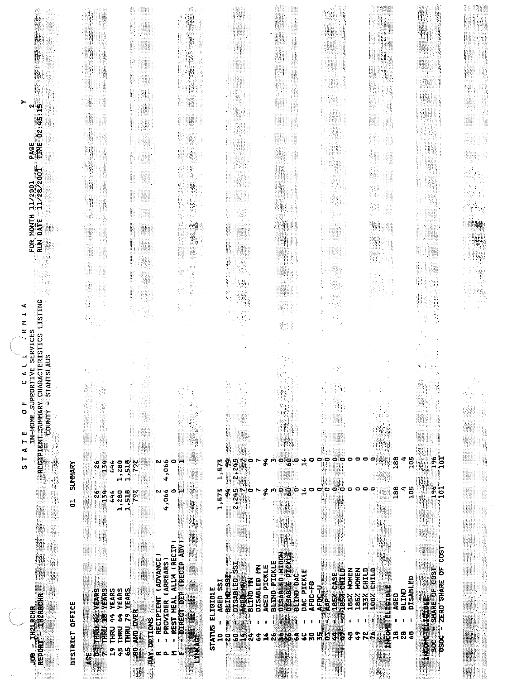| PAGE<br>ទី<br>α                                                                                                                |                                                                                                                                                                                                                                              |                                                                                                                                                                                          |                                                                                                                                   |                                                                                                                                                                                                                                                                                |                                                                                                                                                                                                                                                                                |                                                                                                                                                                                                                                                      |                                                                                                                                                                                 |                                                                                                                                                                                  |
|--------------------------------------------------------------------------------------------------------------------------------|----------------------------------------------------------------------------------------------------------------------------------------------------------------------------------------------------------------------------------------------|------------------------------------------------------------------------------------------------------------------------------------------------------------------------------------------|-----------------------------------------------------------------------------------------------------------------------------------|--------------------------------------------------------------------------------------------------------------------------------------------------------------------------------------------------------------------------------------------------------------------------------|--------------------------------------------------------------------------------------------------------------------------------------------------------------------------------------------------------------------------------------------------------------------------------|------------------------------------------------------------------------------------------------------------------------------------------------------------------------------------------------------------------------------------------------------|---------------------------------------------------------------------------------------------------------------------------------------------------------------------------------|----------------------------------------------------------------------------------------------------------------------------------------------------------------------------------|
| IN-HOME SUPPOR<br>RECIPIENT SUMMARY<br>r<br>O<br><b>COUNTY</b><br>ш<br>٣<br>⋖<br>⊢<br>n<br>JOB – IH2LRCHR<br>Report – IH2RRCHR | 134<br>10<br>N<br>646<br>1,280<br><b>SUMMARY</b><br>134<br>28<br>1,280<br>646<br>đ<br><b>YEARS</b><br>THRU 18 YEARS<br>THRU 44 YEARS<br>64 YEARS<br>DISTRICT OFFICE<br>TIRU 6<br>THRU<br>$\frac{1}{2}$<br>$\frac{9}{1}$<br>J.<br>P<br>u<br>4 | N<br>1,518<br>792<br>1,518<br>792<br>N<br>- RECIPIENT (ADVANCE)<br>PROVIDER (ARREARS)<br>79 YEARS<br><b>BU AND OVER</b><br><b>PAY OP TICKS</b><br><b>THRU</b><br>$\mathbf{I}$<br>59<br>∝ | ŕ.<br>o<br>4,066<br>4,066<br>0<br>ŗ.<br><b>WIDEREDT DEP (RECEP ADV)</b><br>REST MEAL ALLW (RECIP)<br>LTNARE<br>f.<br>Σ<br>p.<br>م | ğ,<br>2,245<br>r<br>1,573<br>c<br>2,245<br>1,573<br>Š.<br>о<br>BLIND SSI<br>DISABLED SSI<br>DISABLED MN<br>BLIND MN<br>AGED SSI<br>NAI OED<br>STATUS ELIGIBLE<br>and Disposition<br>ģ.<br>Ö,<br>$\pmb{\cdot}$<br>$\mathbf t$<br>Ű.<br>ر<br>ج<br>Ş<br>ă<br>$\overline{a}$<br>\$ | ္ဂ<br>P<br>S<br>٦é<br>\$<br>w<br>۴<br>$\frac{9}{11}$<br>ă<br>₽<br>3<br>�<br>DISABLED HIDDA<br><b>DISMBLE PACKLE</b><br><b>BLIND PICKLE</b><br><b>BUIND DAC</b><br>AGED PICKLE<br>DAC PICKLE<br>J.<br>U,<br>Ŧ<br>$\mathbf{I}$<br>L<br>š<br>16<br>$\frac{6}{2}$<br>žě<br>S<br>ပွ | $\circ$ $\circ$<br>Þ<br>۰<br>0<br>0<br>၀ ၀ ၀<br>۰<br>0<br>CILLID<br><b>HOMEN</b><br><b>HOMEN</b><br>185% CASE<br>AFDC-FG<br>$AEDC = U$<br><b>NGS</b><br>185%<br>185%<br>$\frac{1}{4}$<br>Ä,<br>T,<br>t<br>ı<br>H<br>ဒ္<br>B<br>h<br>ş<br>유<br>씮<br>3 | ం<br>188<br>۰<br>188<br>4<br>၀ ၀ ၀<br>CHILD<br><b>100X CHILD</b><br><b>ENGLANDER WARRANT</b><br>BLIND<br>AGED<br>133%<br>J.<br>+ ∭<br>$\mathbf{I}$<br>28<br>$\overset{\sim}{r}$ | 196<br>105<br>Ear<br>196<br>105<br>$\overline{10}$<br><b>ZERO SHARE OF COST</b><br>SHARE OF COST<br>DISABLED<br>ENONE BESTAND<br>$\blacksquare$<br>bsoc <sup>-</sup><br>88<br>88 |

ţ

hş 55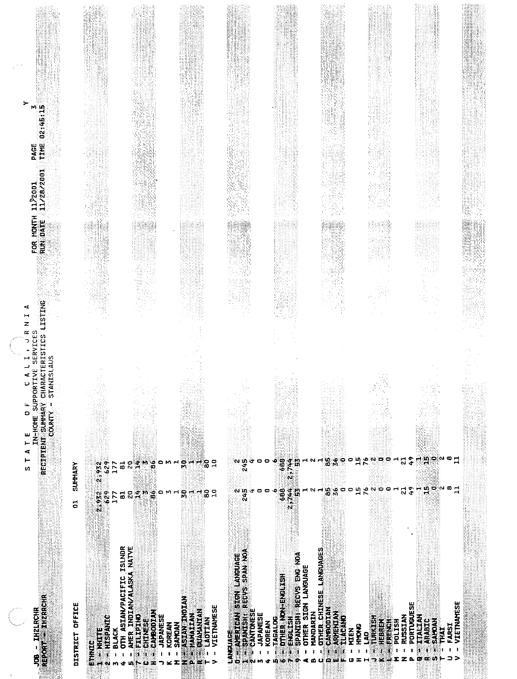

 $02:45:15$ 

NS. g Ð ž

÷

Ŵ.

 $\tilde{\mathcal{L}}_2$ 

IHZLRCHR<br>T = IHZRRCHI

 $\frac{2}{3}$ 

# V. lig<br>St

| DISTRICT OFFICE                                                                 | D1 SUMMARY                                                                                                                                                                        |                                                           |
|---------------------------------------------------------------------------------|-----------------------------------------------------------------------------------------------------------------------------------------------------------------------------------|-----------------------------------------------------------|
| H<br>ETHEL                                                                      |                                                                                                                                                                                   | 2,932                                                     |
| <b>HISPA</b>                                                                    | $2,922$<br>629                                                                                                                                                                    | 629                                                       |
| <b>BLACK</b><br>ı                                                               | 177                                                                                                                                                                               | 177                                                       |
| <b>OTH ASIAN/PACIFIC ISLNDR<br/>AMER INDIAN/ALASKA NATYE<br/>EXTREDIAN</b><br>ı | ದ                                                                                                                                                                                 | ಹ                                                         |
| ŧ                                                                               |                                                                                                                                                                                   | ្ល                                                        |
| <b>Particular</b><br>in Nico                                                    |                                                                                                                                                                                   |                                                           |
| 西约里方式                                                                           | 24.8                                                                                                                                                                              | $71$ $\infty$                                             |
| <b>GA FEODER</b>                                                                |                                                                                                                                                                                   |                                                           |
| <b>JAPANESE</b><br>ţ                                                            |                                                                                                                                                                                   |                                                           |
| <b>KOREAN</b>                                                                   |                                                                                                                                                                                   |                                                           |
| SAMOAN                                                                          |                                                                                                                                                                                   |                                                           |
| <b>ASTART ZENDE</b>                                                             |                                                                                                                                                                                   |                                                           |
| <b>HARRICAR</b><br>$\mathbf{a}$ $\mathbf{a}$                                    | $\begin{array}{c}\n\circ \mathsf{m} \rightarrow \mathsf{S} \rightarrow \mathsf{H} \mathsf{S} \\ \mathsf{m} \rightarrow \mathsf{S} \rightarrow \mathsf{H} \mathsf{S}\n\end{array}$ | $\begin{array}{c}\n\hline\n\vdots \\ \hline\n\end{array}$ |
| <b>GUARANANTER</b>                                                              |                                                                                                                                                                                   |                                                           |
|                                                                                 |                                                                                                                                                                                   |                                                           |
| AMESE                                                                           |                                                                                                                                                                                   |                                                           |
|                                                                                 |                                                                                                                                                                                   |                                                           |

노직화

ź.

 $\tau_{\rm L}$ 

ŵ W

TE.

99

|            | ี่ พ.พ.<br>ผู้<br>្ត<br>ស្តុ<br>SIGN LANGUAGE<br>RECVS SPAN NOA |                         |                | 2,744<br>688<br>2,744            | Ľ,<br>m                                                            | LANGUAGES                                | ದಿ ಎ<br>ದಿ ನಿ<br>85<br>8 % |        | ្អ<br>팤             | $\tilde{z}$ | $\rho$ is a $\sigma$<br>N O O |                    | ឆ<br>730       | Į,            | $\frac{m}{2}$<br>ក ឃុ ខ     | o<br>₹N.             | œ     | 급            |
|------------|-----------------------------------------------------------------|-------------------------|----------------|----------------------------------|--------------------------------------------------------------------|------------------------------------------|----------------------------|--------|---------------------|-------------|-------------------------------|--------------------|----------------|---------------|-----------------------------|----------------------|-------|--------------|
| F<br>ENAGE | <b>RECVS</b><br>Š                                               | APANES<br><b>COREAN</b> | <b>PAGALOG</b> | 表面建立<br><b>THER N</b><br>ENGLUSH | SPANISHI: RECVS ENG NOA<br>LANGUAGE<br><b>RENS</b><br><b>DTHER</b> | <b>DITHER CHINESE</b><br><b>HANDARIN</b> | <b>AMRODITA</b>            | d<br>E | <b>THONG</b><br>HEN | ខ្ម         | <b>IEBRE</b><br><b>URKI</b>   | <b>HSITOr</b><br>距 | <b>RUSSIAN</b> | <b>PORTUS</b> | <b>TO LEAD</b><br>RABI<br>c | <b>Sister</b><br>HAI | FARSI | <b>VIETN</b> |

ent

59

Ş.

96

**ENGINEERING** 

표현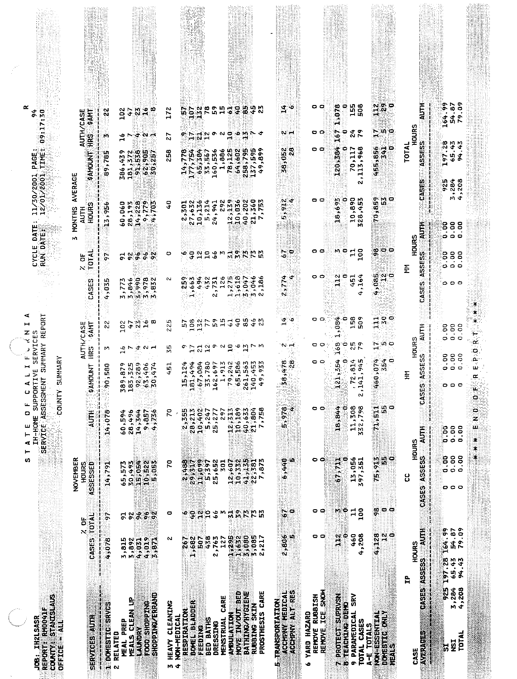| α<br>ま<br>$\overline{\mathbf{50}}$<br>$\ddot{z}$<br>္တင္ခဲ                      | <b>SAMT</b><br>CASE<br><b>AJTHO</b><br>HES | $\frac{2}{3}$<br>ŧ.<br>M          | 2724<br>÷                                                                                     | トナベラ                          |                                         | 172<br>27                            | î,                                                | $\begin{array}{c}\n5x \\ 7x\n\end{array}$ | ្គ<br>កំពុង<br>កំពុង                   |                          | Ş<br>5                                      |                         | 598<br>$\sigma \sim$ $\sigma \sim$ $\sim$ $\sigma \sim$ $\sim$ $\sigma$ | ¥,<br>- 0<br>$\sim$ $-$                                                                                                                                            | 00<br>- -                                             | ۰<br>52.0*<br>$\overline{\phantom{a}}$<br>5<br>0<br>m,<br>0 | 155<br>508<br>38                                      | R,<br>112<br>c<br>r n o<br>ာ                             | 马<br><b>SOFT</b>                      |                                                   | ņ,<br>°°.<br>54.87<br>79.09<br>164<br>$\frac{8}{2}$<br>$43$<br>$43$                                                                                  |                                  |
|---------------------------------------------------------------------------------|--------------------------------------------|-----------------------------------|-----------------------------------------------------------------------------------------------|-------------------------------|-----------------------------------------|--------------------------------------|---------------------------------------------------|-------------------------------------------|----------------------------------------|--------------------------|---------------------------------------------|-------------------------|-------------------------------------------------------------------------|--------------------------------------------------------------------------------------------------------------------------------------------------------------------|-------------------------------------------------------|-------------------------------------------------------------|-------------------------------------------------------|----------------------------------------------------------|---------------------------------------|---------------------------------------------------|------------------------------------------------------------------------------------------------------------------------------------------------------|----------------------------------|
| ٠b٠<br>THE:<br>T<br>PAGE<br>12/01/2001<br>11/30/2001                            | <b>SAMOUNT</b><br>MONTHS AVERAGE           | 89,785<br>Ì                       | ᡡ<br>386,43                                                                                   | 181, 372<br>91, 538<br>779    | $62,905$<br>30,257<br>703               | 258<br>9                             | 14,778<br>177,754<br>, 301                        | 65,384                                    | 33,567<br>160,536                      | 1,886<br>292             | 78,125<br>64,602                            | 258,795<br>137,595      | ,899<br>۰<br>¢                                                          | 28<br>,052<br>R,<br>812<br>×.                                                                                                                                      | 00<br>00                                              | 120,384<br>₽<br>5693                                        | 968<br>70,117<br>$\bullet$<br>,113<br>N<br>10,890     | 5,856<br>541<br>퍞<br>70,859<br>္မွ ေ                     | ASSESS<br><b>TOTAL</b><br>CASES       |                                                   | $\frac{15}{9}$<br>š,<br>197<br>.284<br>208<br>925<br>$\bullet$<br>m st                                                                               |                                  |
| DATE<br>$\cdots$<br>RUN DATE<br>CYCLE                                           | HOURS<br>Į<br>м<br>TOTAL<br>ö<br>$\sim$    | 3,956<br>1<br>H<br>Ţ.<br>o.<br>т. | 60,060<br>28,193<br><b>32</b>                                                                 | 14,228<br>یم ا<br>್ರಾ         | ÷×<br>小江<br>98                          | ۰                                    | 27,632<br>ัผ<br>0.588                             | 10,136<br>5,214                           | 24,941                                 |                          | 12,139<br>10,036                            |                         | 40,202<br>21,360<br>7,753<br>Sudenten                                   | $\sim$<br>m,<br>57<br>c                                                                                                                                            | 00                                                    | $\overline{a}$<br>m o                                       | 328,453<br>$\begin{array}{c} 13 \\ 20 \end{array}$    | စ ေ ေ<br>÷                                               | <b>AUTH</b><br>HDURS<br>S ASSESS<br>ž |                                                   | $\begin{smallmatrix} 0 & 0 \\ 0 & 0 \end{smallmatrix}$<br>$\mathbf{S}$<br>ဠ<br>۰<br>$\begin{smallmatrix} 0 & 0 \\ 0 & 0 \end{smallmatrix}$<br>ș<br>o |                                  |
| ⋖<br>REPORT<br>⊶<br>z<br>m,                                                     | <b>CASES</b><br>PAMT                       | 4,035<br>$\frac{2}{3}$            | $3,846$<br>$3,846$<br>$3,878$<br>$3,832$<br>$3,832$<br>$\sim$<br>$\ddot{t}$<br>$\overline{a}$ | $\mathbf{z}$                  | $\vec{a}$ is                            | м<br>싮<br>N                          | $\frac{5}{25}$<br>÷۹<br>566<br>ंग्ग<br>108<br>in, | 494                                       | 432<br>2,731<br>$M \ge 2$<br>$M \ge 2$ | ۰o<br>$\frac{2}{1}$      | ç,<br>$\mathbb{S}$                          | 35                      | 127823<br>1383348<br>13833<br>بن ب<br>さい                                | ۱Ť<br>۴.<br>ħ.<br>ж.<br>N.<br>U.<br>Φ                                                                                                                              | 00<br>∘<br>っ                                          | P<br>읝<br>o<br><b>OB4</b>                                   | .164<br>ថ្នា<br>¢<br>509<br>158                       | ,085<br>N O<br>⊶<br>Ù.<br>୍କ<br>O<br>$\vec{a}$           | CASE<br><b>AUTH</b>                   | - 1                                               | 000<br>$\ddot{\circ}$<br>°o.<br>$\mathbf{S}$                                                                                                         | ж<br>≹<br>ж<br>سر                |
| SERVICE<br>z<br><b>SUNIMARY</b><br>щ<br>SUMMARY<br><b>ORTIVE</b><br>a<br>⋟<br>ں | <b>AUTH/CASE</b><br>HRS<br><b>SAMOUNT</b>  | M<br>90,580<br>J.                 | $\frac{1}{2}$ $\sim$ $\pm$ $\sim$ $\sim$<br>389,879<br>183,325<br>92,289<br>63,406<br>630,406 |                               |                                         | L.<br>м<br>$\frac{1}{4}$             | 181,494<br>3124<br>븍                              | $67,084$<br>33,780                        | 162,697                                | 1,913                    | 65,586<br>79,242                            | 61,563<br>261           | のけひにゅっぽうほう<br>$-453$<br>52<br>$\blacksquare$<br>ò.<br>ক                 | $\sim$ m<br>844<br>æ<br>œ.<br>Ιñ,                                                                                                                                  | - -<br>$\circ$<br>0                                   | 8<br>೦<br>$\overline{\phantom{a}}$<br>354<br>۰<br>۰Ņ,       | மா உ<br>ω<br>∼<br>$.72,814$<br>$.141,945$             | r n o<br>پ<br>Ξ<br>460,074<br>ia<br>Pas                  | ing⊭<br><b>ASSESS</b><br>돞<br>ø       |                                                   | $\circ$<br>۰<br>$^{00}$<br><u>ိ</u><br>S<br>$\circ$ $\circ$ $\circ$<br>$\circ\circ\circ$                                                             | Þ.<br>o<br>p.<br>ш<br>œ          |
| SERVICE ASSESSMENT<br>ddns<br><b>COUNT</b><br>۳<br>D<br>IH-HOME<br>ATE<br>٣     | <b>AUTH</b>                                | I<br>14,078                       | 60.594<br>28,496                                                                              | 14,544<br>9,857               | 4,736                                   | ξ                                    | 2,355                                             | 10,402<br>28,213                          | 25,277<br>5,247                        | 297                      | 10,189<br>12,313                            | 40,633<br>21,804        | 7,758                                                                   | 5,978<br>ä.                                                                                                                                                        | ۰<br>۰                                                | 18,844<br>ç                                                 | 11,308<br>332,798                                     | ដ្ឋា<br>٥<br>71,511                                      | CASE<br><b>CADER</b>                  | 4                                                 | 0.00<br>0.00<br>0.DO                                                                                                                                 | q<br>k<br>Z<br>۳<br>Ą,<br>×<br>× |
| k<br>n                                                                          | NOVEMBER<br>ASSESSED<br>HOURS              | 14,791<br>6                       | 65,573<br>20,493<br>52                                                                        | 15,054<br>96<br>$\frac{6}{3}$ | 10,522<br>5,053<br>92                   | 5<br>0                               | 2,488<br>29,317<br>o                              | ş                                         | 11,0997<br>25,652<br>ដូន<br>66         | 301<br>м                 | 12,607<br><b>26,0Z</b><br>Ä                 | 41,135                  | 22,381<br>7,873<br><b>3225</b>                                          | 0.440<br>U.<br>ç,<br>c                                                                                                                                             | ۰<br>۰<br>۰<br>0                                      | 67,711<br>M D                                               | 13,056<br>۹<br>397,351<br>$\overline{100}$<br>ដ       | iu<br>M<br>ا په<br>ا<br>75,913<br>C.<br>c<br>Ş           | ႘                                     |                                                   | <b>0.00</b><br>0.00<br>i.oo<br>o<br>0 O<br>۰                                                                                                         |                                  |
|                                                                                 | <b>CASES TOTAL</b><br>a<br>X               | 4,078                             | 3,892                                                                                         | 4,031                         | $3,871$<br>$5,871$                      | м                                    | 267                                               | 1,682<br>507                              | 438<br>2,763                           | 127                      | 1,295                                       | 1,632<br>3,080<br>3,085 | 2, 217                                                                  | 2,806<br>Ļņ,                                                                                                                                                       | ۰<br>o                                                | °<br>ă                                                      | 460<br>4,208                                          | 4,128<br>Ņ<br>ူ                                          | HOURS<br>凸                            | 1111                                              | 79.09<br>164.99<br>54.87<br>197.28<br>65.43<br>94.43                                                                                                 |                                  |
| <b>COUNTY! STANTS LAUS</b><br>REPORT: RHOO41F<br>JOB: IHZLSASR<br>OFFICE 4LL    | <b>SERVICES AUTH</b>                       | <b>1 DOMESTIC SRVCS</b>           | <b>MEALS CLEAN UP</b><br><b>MEAL PREP</b><br>RELATED<br>N                                     | LAUNDRY                       | SHOPPING/ERRAND<br><b>FOOD SHOPPING</b> | HEAVY CLEANING<br>NON-MEDICAL<br>m đ | RESPIRATION                                       | <b>SOME</b> GBLADDER<br><b>FEEDING</b>    | BED BATHS<br>DRESSING                  | CARE<br><b>MENSTRUAL</b> | <b>TOVE TIVOUT BED</b><br><b>AMBULATION</b> | <b>BATHER READERS</b>   | PROSTHESIS CARE<br>RUBBING SKIN                                         | $\frac{1}{2}$ , $\frac{1}{2}$ , $\frac{1}{2}$ , $\frac{1}{2}$ , $\frac{1}{2}$ , $\frac{1}{2}$ , $\frac{1}{2}$<br><b>ACCHPAY HEDICAL</b><br><b>5</b> TRANSPORTATION | REMOVE ICE SNOW<br>REMOVE RUBBISH<br>YARD HAZARD<br>٠ | All PROTECT 語 SUPPORT<br><b>BalticAcHING DEMO</b>           | <b>9 PARAMEDICAL SRV</b><br>TOTAL CASES<br>A-E TOTALS | <b>TROWNSHOP</b><br><b>KON-ESSENTIAL</b><br><b>MEALS</b> | <b>CASE</b>                           | AVERAGES CASES ASSESS AUTH AUTH AUSSES ASESS AUTH | 3,284<br>4,208<br>925<br><b>TOTAL</b><br>$\frac{1}{2}$<br>ដ                                                                                          |                                  |

 $\propto$ 

 $\overline{\bigcirc}$ 

 $\mathbf{v} = \mathbf{v}$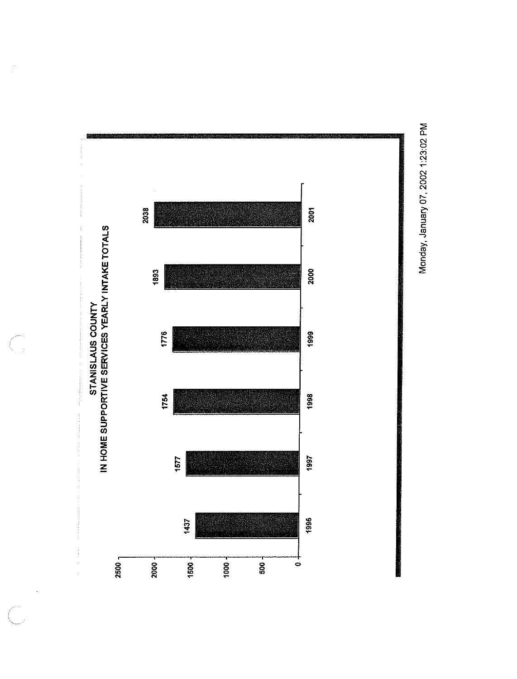

 $\frac{1}{2}$ 

 $\bigcap_{i=1}^n$